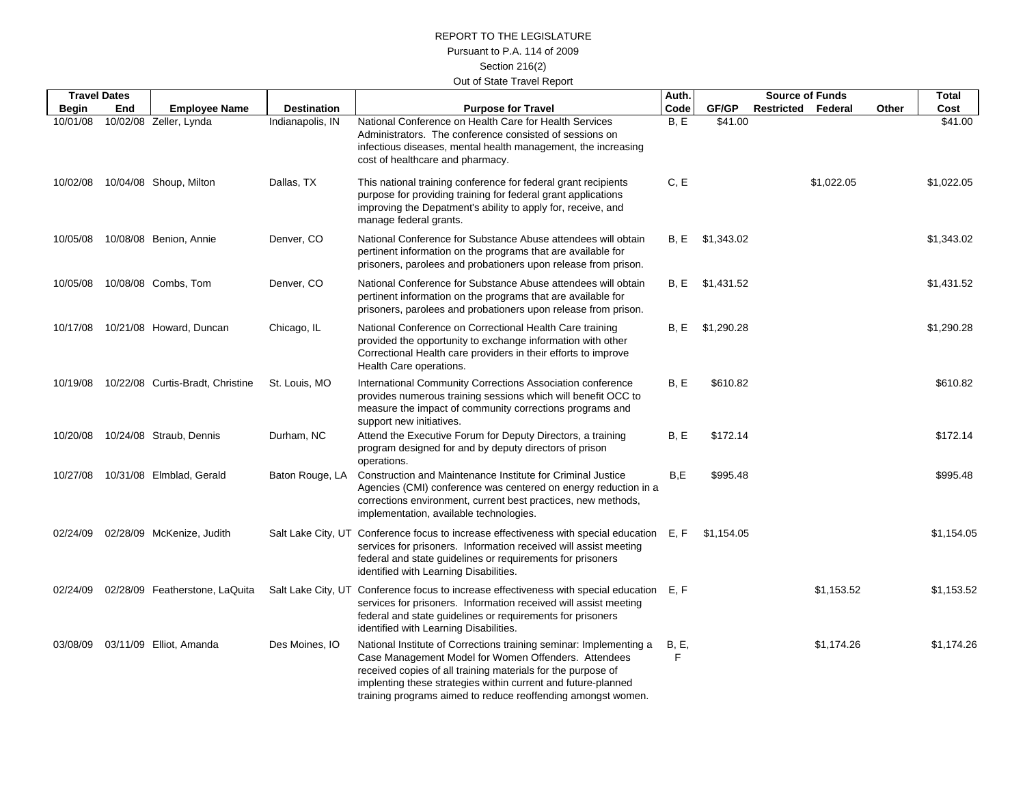## REPORT TO THE LEGISLATUREPursuant to P.A. 114 of 2009 Section 216(2) Out of State Travel Report

|          | <b>Travel Dates</b> |                                  |                    |                                                                                                                                                                                                                                                                                                                             | Auth.              | <b>Source of Funds</b> |                           | <b>Total</b> |       |            |
|----------|---------------------|----------------------------------|--------------------|-----------------------------------------------------------------------------------------------------------------------------------------------------------------------------------------------------------------------------------------------------------------------------------------------------------------------------|--------------------|------------------------|---------------------------|--------------|-------|------------|
| Begin    | End                 | <b>Employee Name</b>             | <b>Destination</b> | <b>Purpose for Travel</b>                                                                                                                                                                                                                                                                                                   | Code               | GF/GP                  | <b>Restricted Federal</b> |              | Other | Cost       |
| 10/01/08 |                     | 10/02/08 Zeller, Lynda           | Indianapolis, IN   | National Conference on Health Care for Health Services<br>Administrators. The conference consisted of sessions on<br>infectious diseases, mental health management, the increasing<br>cost of healthcare and pharmacy.                                                                                                      | B, E               | \$41.00                |                           |              |       | \$41.00    |
| 10/02/08 |                     | 10/04/08 Shoup, Milton           | Dallas, TX         | This national training conference for federal grant recipients<br>purpose for providing training for federal grant applications<br>improving the Depatment's ability to apply for, receive, and<br>manage federal grants.                                                                                                   | C, E               |                        |                           | \$1,022.05   |       | \$1,022.05 |
| 10/05/08 |                     | 10/08/08 Benion, Annie           | Denver, CO         | National Conference for Substance Abuse attendees will obtain<br>pertinent information on the programs that are available for<br>prisoners, parolees and probationers upon release from prison.                                                                                                                             | B.E                | \$1.343.02             |                           |              |       | \$1,343.02 |
|          |                     | 10/05/08  10/08/08  Combs, Tom   | Denver, CO         | National Conference for Substance Abuse attendees will obtain<br>pertinent information on the programs that are available for<br>prisoners, parolees and probationers upon release from prison.                                                                                                                             | B, E               | \$1,431.52             |                           |              |       | \$1,431.52 |
| 10/17/08 |                     | 10/21/08 Howard, Duncan          | Chicago, IL        | National Conference on Correctional Health Care training<br>provided the opportunity to exchange information with other<br>Correctional Health care providers in their efforts to improve<br>Health Care operations.                                                                                                        | B, E               | \$1,290.28             |                           |              |       | \$1,290.28 |
| 10/19/08 |                     | 10/22/08 Curtis-Bradt, Christine | St. Louis, MO      | International Community Corrections Association conference<br>provides numerous training sessions which will benefit OCC to<br>measure the impact of community corrections programs and<br>support new initiatives.                                                                                                         | B, E               | \$610.82               |                           |              |       | \$610.82   |
| 10/20/08 |                     | 10/24/08 Straub, Dennis          | Durham, NC         | Attend the Executive Forum for Deputy Directors, a training<br>program designed for and by deputy directors of prison<br>operations.                                                                                                                                                                                        | B, E               | \$172.14               |                           |              |       | \$172.14   |
| 10/27/08 |                     | 10/31/08 Elmblad, Gerald         | Baton Rouge, LA    | Construction and Maintenance Institute for Criminal Justice<br>Agencies (CMI) conference was centered on energy reduction in a<br>corrections environment, current best practices, new methods,<br>implementation, available technologies.                                                                                  | B.E                | \$995.48               |                           |              |       | \$995.48   |
| 02/24/09 |                     | 02/28/09 McKenize, Judith        |                    | Salt Lake City, UT Conference focus to increase effectiveness with special education E, F<br>services for prisoners. Information received will assist meeting<br>federal and state guidelines or requirements for prisoners<br>identified with Learning Disabilities.                                                       |                    | \$1,154.05             |                           |              |       | \$1,154.05 |
| 02/24/09 |                     | 02/28/09 Featherstone, LaQuita   |                    | Salt Lake City, UT Conference focus to increase effectiveness with special education E, F<br>services for prisoners. Information received will assist meeting<br>federal and state guidelines or requirements for prisoners<br>identified with Learning Disabilities.                                                       |                    |                        |                           | \$1,153.52   |       | \$1,153.52 |
| 03/08/09 |                     | 03/11/09 Elliot, Amanda          | Des Moines, IO     | National Institute of Corrections training seminar: Implementing a<br>Case Management Model for Women Offenders. Attendees<br>received copies of all training materials for the purpose of<br>implenting these strategies within current and future-planned<br>training programs aimed to reduce reoffending amongst women. | <b>B</b> , E,<br>F |                        |                           | \$1,174.26   |       | \$1,174.26 |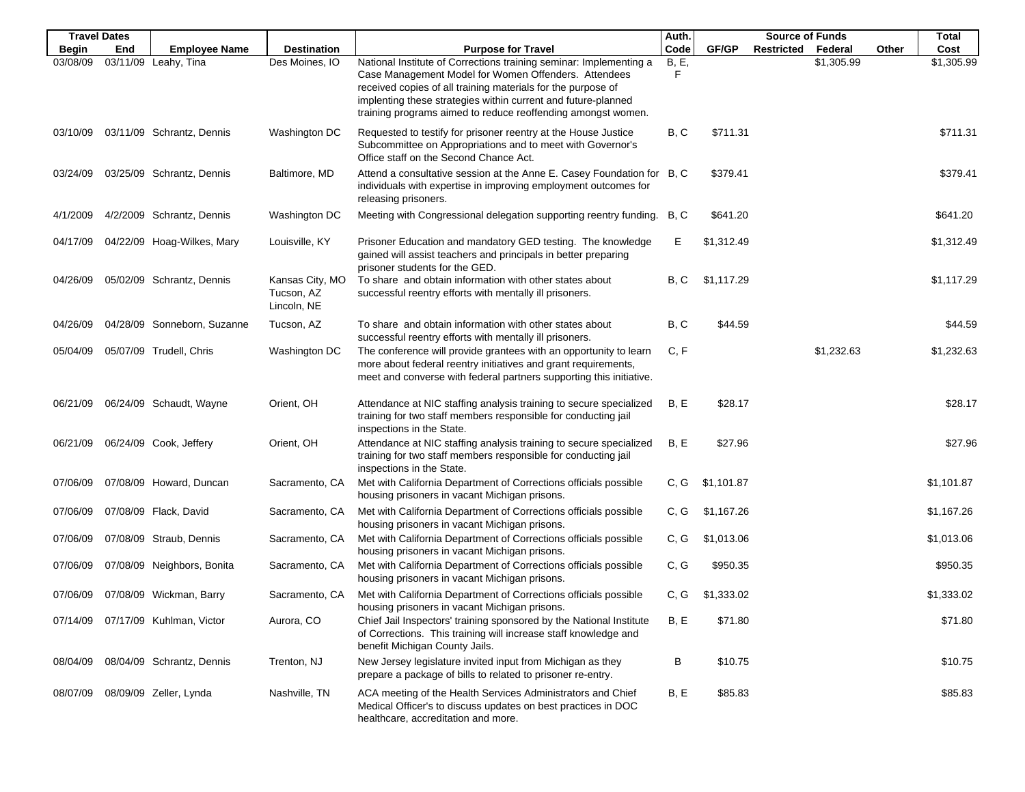|              | <b>Travel Dates</b> |                             |                                              |                                                                                                                                                                                                                                                                                                                             | Auth.             |            | <b>Source of Funds</b> |            | <b>Total</b> |            |
|--------------|---------------------|-----------------------------|----------------------------------------------|-----------------------------------------------------------------------------------------------------------------------------------------------------------------------------------------------------------------------------------------------------------------------------------------------------------------------------|-------------------|------------|------------------------|------------|--------------|------------|
| <b>Begin</b> | End                 | <b>Employee Name</b>        | <b>Destination</b>                           | <b>Purpose for Travel</b>                                                                                                                                                                                                                                                                                                   | Code              | GF/GP      | Restricted             | Federal    | Other        | Cost       |
| 03/08/09     |                     | 03/11/09 Leahy, Tina        | Des Moines, IO                               | National Institute of Corrections training seminar: Implementing a<br>Case Management Model for Women Offenders. Attendees<br>received copies of all training materials for the purpose of<br>implenting these strategies within current and future-planned<br>training programs aimed to reduce reoffending amongst women. | <b>B, E,</b><br>F |            |                        | \$1,305.99 |              | \$1,305.99 |
| 03/10/09     |                     | 03/11/09 Schrantz, Dennis   | Washington DC                                | Requested to testify for prisoner reentry at the House Justice<br>Subcommittee on Appropriations and to meet with Governor's<br>Office staff on the Second Chance Act.                                                                                                                                                      | B, C              | \$711.31   |                        |            |              | \$711.31   |
| 03/24/09     |                     | 03/25/09 Schrantz, Dennis   | Baltimore, MD                                | Attend a consultative session at the Anne E. Casey Foundation for B, C<br>individuals with expertise in improving employment outcomes for<br>releasing prisoners.                                                                                                                                                           |                   | \$379.41   |                        |            |              | \$379.41   |
| 4/1/2009     |                     | 4/2/2009 Schrantz, Dennis   | Washington DC                                | Meeting with Congressional delegation supporting reentry funding.                                                                                                                                                                                                                                                           | B, C              | \$641.20   |                        |            |              | \$641.20   |
| 04/17/09     |                     | 04/22/09 Hoag-Wilkes, Mary  | Louisville, KY                               | Prisoner Education and mandatory GED testing. The knowledge<br>gained will assist teachers and principals in better preparing<br>prisoner students for the GED.                                                                                                                                                             | Е                 | \$1,312.49 |                        |            |              | \$1,312.49 |
| 04/26/09     |                     | 05/02/09 Schrantz, Dennis   | Kansas City, MO<br>Tucson, AZ<br>Lincoln, NE | To share and obtain information with other states about<br>successful reentry efforts with mentally ill prisoners.                                                                                                                                                                                                          | B, C              | \$1,117.29 |                        |            |              | \$1,117.29 |
| 04/26/09     |                     | 04/28/09 Sonneborn, Suzanne | Tucson, AZ                                   | To share and obtain information with other states about<br>successful reentry efforts with mentally ill prisoners.                                                                                                                                                                                                          | B, C              | \$44.59    |                        |            |              | \$44.59    |
| 05/04/09     |                     | 05/07/09 Trudell, Chris     | Washington DC                                | The conference will provide grantees with an opportunity to learn<br>more about federal reentry initiatives and grant requirements,<br>meet and converse with federal partners supporting this initiative.                                                                                                                  | C, F              |            |                        | \$1,232.63 |              | \$1,232.63 |
| 06/21/09     |                     | 06/24/09 Schaudt, Wayne     | Orient, OH                                   | Attendance at NIC staffing analysis training to secure specialized<br>training for two staff members responsible for conducting jail<br>inspections in the State.                                                                                                                                                           | B, E              | \$28.17    |                        |            |              | \$28.17    |
| 06/21/09     |                     | 06/24/09 Cook, Jeffery      | Orient, OH                                   | Attendance at NIC staffing analysis training to secure specialized<br>training for two staff members responsible for conducting jail<br>inspections in the State.                                                                                                                                                           | B, E              | \$27.96    |                        |            |              | \$27.96    |
| 07/06/09     |                     | 07/08/09 Howard, Duncan     | Sacramento, CA                               | Met with California Department of Corrections officials possible<br>housing prisoners in vacant Michigan prisons.                                                                                                                                                                                                           | C, G              | \$1,101.87 |                        |            |              | \$1,101.87 |
| 07/06/09     |                     | 07/08/09 Flack, David       | Sacramento, CA                               | Met with California Department of Corrections officials possible<br>housing prisoners in vacant Michigan prisons.                                                                                                                                                                                                           | C, G              | \$1,167.26 |                        |            |              | \$1,167.26 |
| 07/06/09     |                     | 07/08/09 Straub, Dennis     | Sacramento, CA                               | Met with California Department of Corrections officials possible<br>housing prisoners in vacant Michigan prisons.                                                                                                                                                                                                           | C, G              | \$1,013.06 |                        |            |              | \$1,013.06 |
| 07/06/09     |                     | 07/08/09 Neighbors, Bonita  | Sacramento, CA                               | Met with California Department of Corrections officials possible<br>housing prisoners in vacant Michigan prisons.                                                                                                                                                                                                           | C, G              | \$950.35   |                        |            |              | \$950.35   |
| 07/06/09     |                     | 07/08/09 Wickman, Barry     | Sacramento, CA                               | Met with California Department of Corrections officials possible<br>housing prisoners in vacant Michigan prisons.                                                                                                                                                                                                           | C, G              | \$1,333.02 |                        |            |              | \$1,333.02 |
| 07/14/09     |                     | 07/17/09 Kuhlman, Victor    | Aurora, CO                                   | Chief Jail Inspectors' training sponsored by the National Institute<br>of Corrections. This training will increase staff knowledge and<br>benefit Michigan County Jails.                                                                                                                                                    | B, E              | \$71.80    |                        |            |              | \$71.80    |
| 08/04/09     |                     | 08/04/09 Schrantz, Dennis   | Trenton, NJ                                  | New Jersey legislature invited input from Michigan as they<br>prepare a package of bills to related to prisoner re-entry.                                                                                                                                                                                                   | В                 | \$10.75    |                        |            |              | \$10.75    |
| 08/07/09     |                     | 08/09/09 Zeller, Lynda      | Nashville, TN                                | ACA meeting of the Health Services Administrators and Chief<br>Medical Officer's to discuss updates on best practices in DOC<br>healthcare, accreditation and more.                                                                                                                                                         | B, E              | \$85.83    |                        |            |              | \$85.83    |